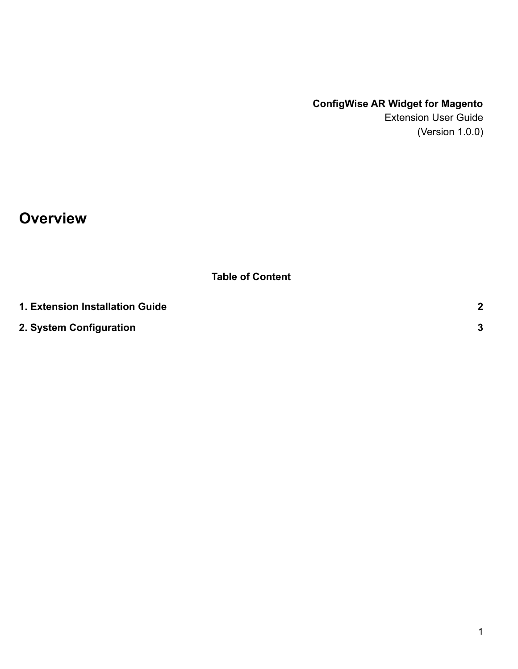## **ConfigWise AR Widget for Magento**

Extension User Guide (Version 1.0.0)

**Overview**

**Table of Content**

| 1. Extension Installation Guide |  |
|---------------------------------|--|
| 2. System Configuration         |  |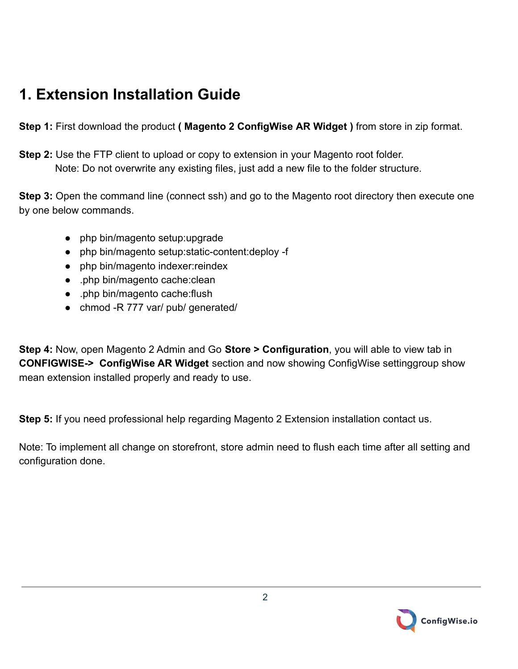## <span id="page-1-0"></span>**1. Extension Installation Guide**

**Step 1:** First download the product **( Magento 2 ConfigWise AR Widget )** from store in zip format.

**Step 2:** Use the FTP client to upload or copy to extension in your Magento root folder. Note: Do not overwrite any existing files, just add a new file to the folder structure.

**Step 3:** Open the command line (connect ssh) and go to the Magento root directory then execute one by one below commands.

- php bin/magento setup:upgrade
- php bin/magento setup:static-content:deploy -f
- php bin/magento indexer: reindex
- .php bin/magento cache:clean
- .php bin/magento cache:flush
- chmod -R 777 var/ pub/ generated/

**Step 4:** Now, open Magento 2 Admin and Go **Store > Configuration**, you will able to view tab in **CONFIGWISE-> ConfigWise AR Widget** section and now showing ConfigWise settinggroup show mean extension installed properly and ready to use.

**Step 5:** If you need professional help regarding Magento 2 Extension installation contact us.

Note: To implement all change on storefront, store admin need to flush each time after all setting and configuration done.

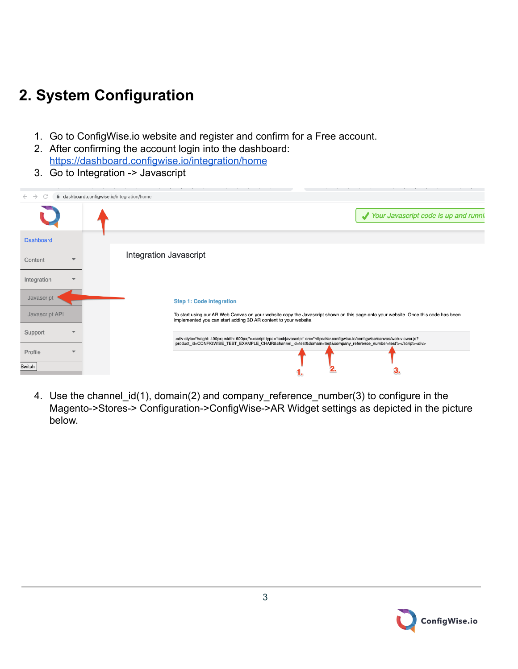## <span id="page-2-0"></span>**2. System Configuration**

- 1. Go to ConfigWise.io website and register and confirm for a Free account.
- 2. After confirming the account login into the dashboard: <https://dashboard.configwise.io/integration/home>
- 3. Go to Integration -> Javascript

| $\rightarrow$<br>C<br>$\leftarrow$            | dashboard.configwise.io/integration/home                                                                                                                                                                                                                                                    |
|-----------------------------------------------|---------------------------------------------------------------------------------------------------------------------------------------------------------------------------------------------------------------------------------------------------------------------------------------------|
|                                               | Your Javascript code is up and runni                                                                                                                                                                                                                                                        |
| <b>Dashboard</b>                              |                                                                                                                                                                                                                                                                                             |
| Content<br>$\overline{\phantom{a}}$           | Integration Javascript                                                                                                                                                                                                                                                                      |
| Integration<br>▼                              |                                                                                                                                                                                                                                                                                             |
| Javascript                                    | <b>Step 1: Code integration</b>                                                                                                                                                                                                                                                             |
| Javascript API                                | To start using our AR Web Canvas on your website copy the Javascript shown on this page onto your website. Once this code has been<br>implemented you can start adding 3D AR content to your website.                                                                                       |
| Support<br>$\overline{\phantom{a}}$           | <div style="height: 400px; width: 600px;"><script src="https://ar.configwise.io/configwise/canvas/web-viewer.js?&lt;br&gt;product_id=CONFIGWISE_TEST_EXAMPLE_CHAIR&amp;channel_id=test&amp;domain=test&amp;company_reference_number=test" type="text/javascript"></script><div></div></div> |
| Profile<br>$\overline{\phantom{a}}$<br>Switch |                                                                                                                                                                                                                                                                                             |

4. Use the channel\_id(1), domain(2) and company\_reference\_number(3) to configure in the Magento->Stores-> Configuration->ConfigWise->AR Widget settings as depicted in the picture below.

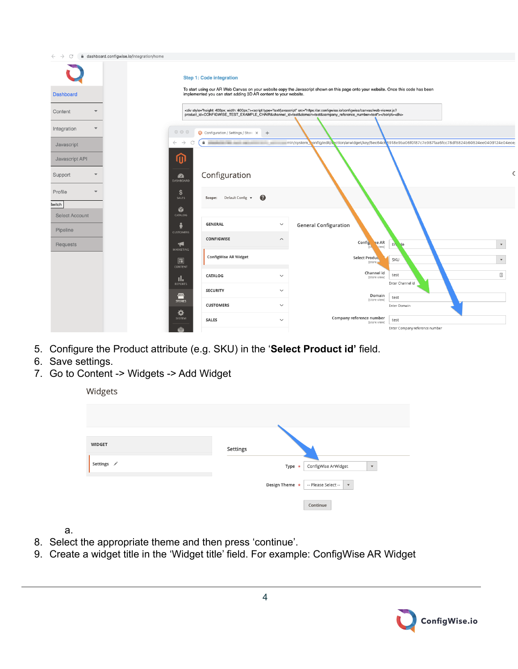| C<br>$\rightarrow$                | dashboard.configwise.io/integration/home |                                                                 |                                                                                                                                                                                                                                                                                             |                                                                                                               |
|-----------------------------------|------------------------------------------|-----------------------------------------------------------------|---------------------------------------------------------------------------------------------------------------------------------------------------------------------------------------------------------------------------------------------------------------------------------------------|---------------------------------------------------------------------------------------------------------------|
|                                   |                                          | <b>Step 1: Code integration</b>                                 | To start using our AR Web Canvas on your website copy the Javascript shown on this page onto your website. Once this code has been                                                                                                                                                          |                                                                                                               |
| <b>Dashboard</b>                  |                                          | implemented you can start adding 3D AR content to your website. |                                                                                                                                                                                                                                                                                             |                                                                                                               |
| Content                           |                                          |                                                                 | <div style="height: 400px; width: 600px;"><script src="https://ar.configwise.io/configwise/canvas/web-viewer.js?&lt;br&gt;product_id=CONFIGWISE_TEST_EXAMPLE_CHAIR&amp;channel_id=test&amp;domain=test&amp;company_reference_number=test" type="text/javascript"></script><div></div></div> |                                                                                                               |
| Integration                       | $\circ\circ\circ$                        | Configuration / Settings / Store X<br>$+$                       |                                                                                                                                                                                                                                                                                             |                                                                                                               |
| Javascript                        | $\leftarrow$<br>$\rightarrow$            | $\hat{\mathbf{a}}$<br><b>BATH-THE CHAIR AND</b>                 |                                                                                                                                                                                                                                                                                             | min/system_config/edit/s-ction/arwidget/key/5ec64c65918e9ba06f0f87c7e987faa6fcc78df5824b60524ee0409124e04ece= |
| Javascript API                    | ⋒                                        |                                                                 |                                                                                                                                                                                                                                                                                             |                                                                                                               |
| Support                           | $\mathbf{z}$<br>DASHBOARD                | Configuration                                                   |                                                                                                                                                                                                                                                                                             |                                                                                                               |
| Profile                           | \$<br>SALES                              | $\bullet$<br>Scope: Default Config v                            |                                                                                                                                                                                                                                                                                             |                                                                                                               |
| <b>Switch</b>                     | Ŵ<br>CATALOG                             |                                                                 |                                                                                                                                                                                                                                                                                             |                                                                                                               |
| <b>Select Account</b><br>Pipeline | <b>CUSTOMERS</b>                         | <b>GENERAL</b><br>$\checkmark$                                  | <b>General Configuration</b>                                                                                                                                                                                                                                                                |                                                                                                               |
| Requests                          | $\lnot$<br>MARKETING                     | <b>CONFIGWISE</b><br>$\widehat{\phantom{a}}$                    | Config<br>se AR<br>view]                                                                                                                                                                                                                                                                    | EN.<br>$\lvert \cdot \rvert$<br>$\boldsymbol{\mathrm{v}}$                                                     |
|                                   | $\Box$<br>CONTENT                        | ConfigWise AR Widget                                            | Select Produc<br><b>Estore</b>                                                                                                                                                                                                                                                              | SKU<br>$\blacktriangledown$                                                                                   |
|                                   | al.<br><b>REPORTS</b>                    | CATALOG<br>$\checkmark$                                         | Channel id<br>[store view]                                                                                                                                                                                                                                                                  | $\triangleq$<br>test<br>Enter Channel id                                                                      |
|                                   | 伵                                        | <b>SECURITY</b><br>$\checkmark$                                 | Domain<br>[store view]                                                                                                                                                                                                                                                                      | test                                                                                                          |
|                                   | <b>STORES</b>                            | <b>CUSTOMERS</b><br>$\checkmark$                                |                                                                                                                                                                                                                                                                                             | Enter Domain                                                                                                  |
|                                   | ✿<br>SYSTEM                              | <b>SALES</b><br>$\checkmark$                                    | Company reference number<br>[store view]                                                                                                                                                                                                                                                    | test                                                                                                          |
|                                   |                                          |                                                                 |                                                                                                                                                                                                                                                                                             | Enter Company reference number                                                                                |

- 5. Configure the Product attribute (e.g. SKU) in the '**Select Product id'** field.
- 6. Save settings.
- 7. Go to Content -> Widgets -> Add Widget

| Widgets       |                                                                  |
|---------------|------------------------------------------------------------------|
|               |                                                                  |
| <b>WIDGET</b> | Settings                                                         |
| Settings /    | ConfigWise ArWidget<br>Type $\star$<br>$\boldsymbol{\mathrm{v}}$ |
|               | Design Theme *<br>-- Please Select --<br>$\mathbf{v}$            |
|               | Continue                                                         |

a.

- 8. Select the appropriate theme and then press 'continue'.
- 9. Create a widget title in the 'Widget title' field. For example: ConfigWise AR Widget